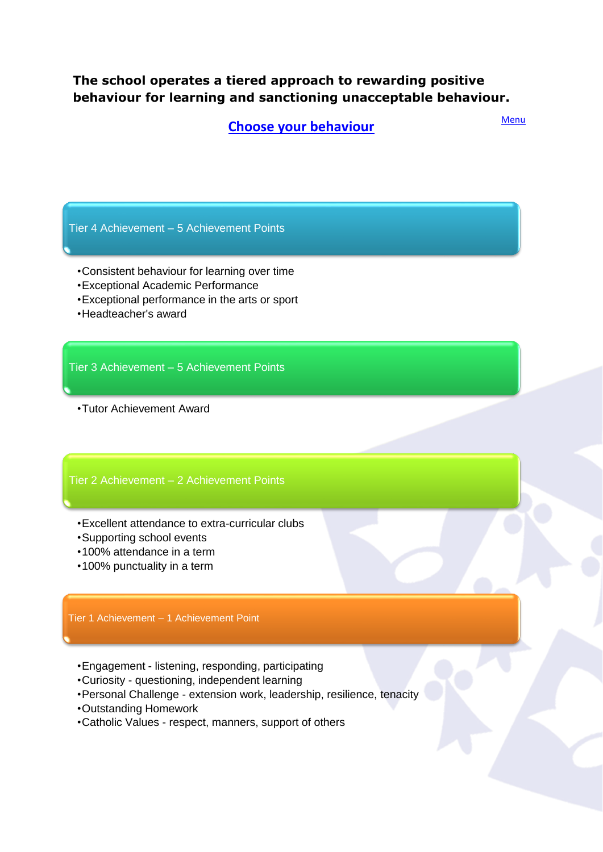## <span id="page-0-0"></span>**The school operates a tiered approach to rewarding positive behaviour for learning and sanctioning unacceptable behaviour.**

**[Choose your behaviour](#page-0-0)**

Menu

Tier 4 Achievement – 5 Achievement Points

- •Consistent behaviour for learning over time
- •Exceptional Academic Performance
- •Exceptional performance in the arts or sport
- •Headteacher's award

Tier 3 Achievement – 5 Achievement Points

•Tutor Achievement Award

### Tier 2 Achievement – 2 Achievement Points

- •Excellent attendance to extra-curricular clubs
- •Supporting school events
- •100% attendance in a term
- •100% punctuality in a term

### Tier 1 Achievement – 1 Achievement Point

- •Engagement listening, responding, participating
- •Curiosity questioning, independent learning
- •Personal Challenge extension work, leadership, resilience, tenacity
- •Outstanding Homework
- •Catholic Values respect, manners, support of others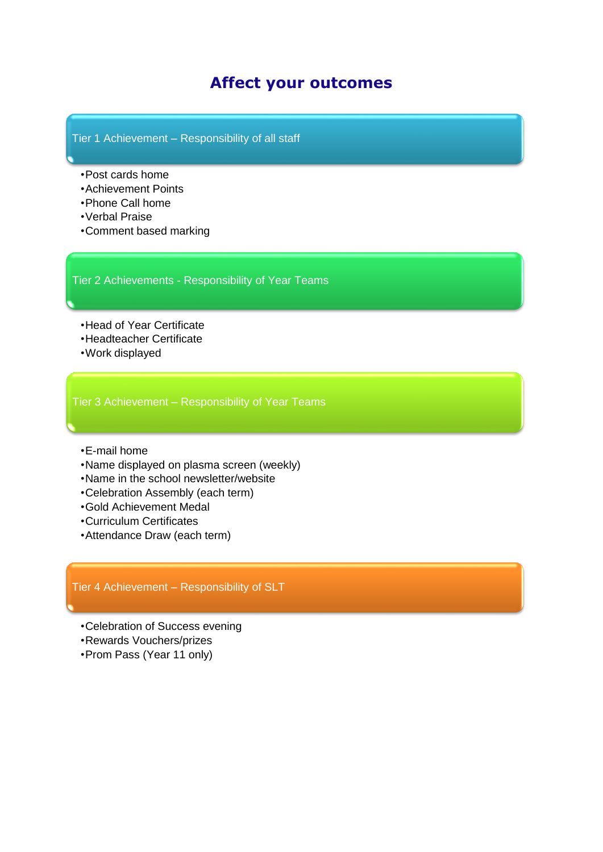# **Affect your outcomes**

### Tier 1 Achievement – Responsibility of all staff

- •Post cards home
- •Achievement Points
- •Phone Call home
- •Verbal Praise
- •Comment based marking

### Tier 2 Achievements - Responsibility of Year Teams

- •Head of Year Certificate
- •Headteacher Certificate
- •Work displayed

Tier 3 Achievement – Responsibility of Year Teams

- •E-mail home
- •Name displayed on plasma screen (weekly)
- •Name in the school newsletter/website
- •Celebration Assembly (each term)
- •Gold Achievement Medal
- •Curriculum Certificates
- •Attendance Draw (each term)

## Tier 4 Achievement – Responsibility of SLT

- •Celebration of Success evening
- •Rewards Vouchers/prizes
- •Prom Pass (Year 11 only)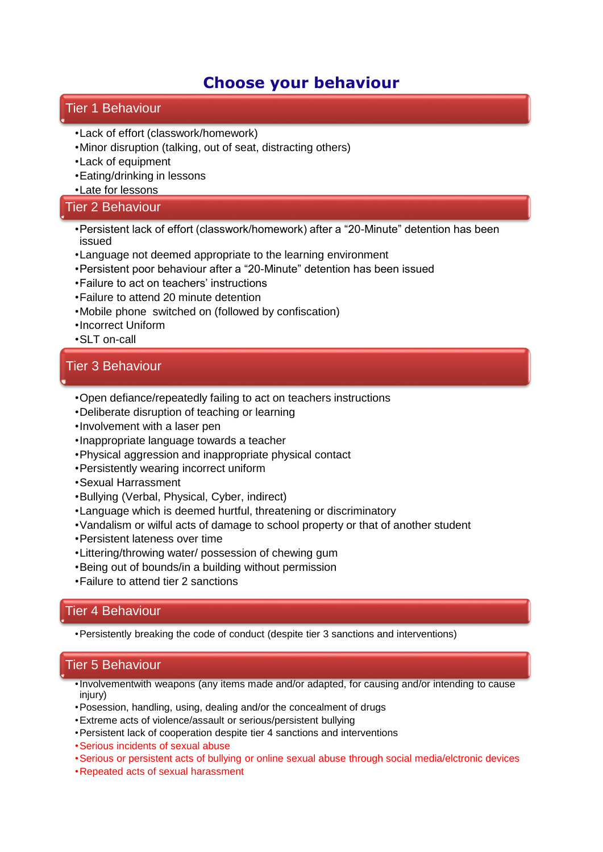# **Choose your behaviour**

## Tier 1 Behaviour

- •Lack of effort (classwork/homework)
- •Minor disruption (talking, out of seat, distracting others)
- •Lack of equipment
- •Eating/drinking in lessons
- •Late for lessons

## Tier 2 Behaviour

- •Persistent lack of effort (classwork/homework) after a "20-Minute" detention has been issued
- •Language not deemed appropriate to the learning environment
- •Persistent poor behaviour after a "20-Minute" detention has been issued
- •Failure to act on teachers' instructions
- •Failure to attend 20 minute detention
- •Mobile phone switched on (followed by confiscation)
- •Incorrect Uniform
- •SLT on-call

## Tier 3 Behaviour

- •Open defiance/repeatedly failing to act on teachers instructions
- •Deliberate disruption of teaching or learning
- •Involvement with a laser pen
- •Inappropriate language towards a teacher
- •Physical aggression and inappropriate physical contact
- •Persistently wearing incorrect uniform
- •Sexual Harrassment
- •Bullying (Verbal, Physical, Cyber, indirect)
- •Language which is deemed hurtful, threatening or discriminatory
- •Vandalism or wilful acts of damage to school property or that of another student
- •Persistent lateness over time
- •Littering/throwing water/ possession of chewing gum
- •Being out of bounds/in a building without permission
- •Failure to attend tier 2 sanctions

## Tier 4 Behaviour

•Persistently breaking the code of conduct (despite tier 3 sanctions and interventions)

## Tier 5 Behaviour

- •Involvementwith weapons (any items made and/or adapted, for causing and/or intending to cause injury)
- •Posession, handling, using, dealing and/or the concealment of drugs
- •Extreme acts of violence/assault or serious/persistent bullying
- •Persistent lack of cooperation despite tier 4 sanctions and interventions
- •Serious incidents of sexual abuse
- •Serious or persistent acts of bullying or online sexual abuse through social media/elctronic devices
- •Repeated acts of sexual harassment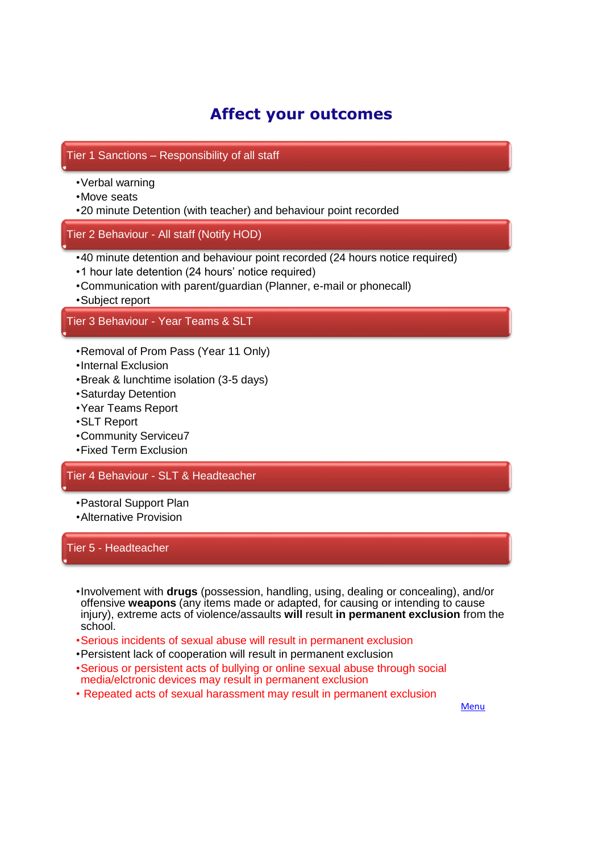# **Affect your outcomes**

## Tier 1 Sanctions – Responsibility of all staff

- •Verbal warning
- •Move seats
- •20 minute Detention (with teacher) and behaviour point recorded

## Tier 2 Behaviour - All staff (Notify HOD)

- •40 minute detention and behaviour point recorded (24 hours notice required)
- •1 hour late detention (24 hours' notice required)
- •Communication with parent/guardian (Planner, e-mail or phonecall)
- •Subject report

## Tier 3 Behaviour - Year Teams & SLT

- •Removal of Prom Pass (Year 11 Only)
- •Internal Exclusion
- •Break & lunchtime isolation (3-5 days)
- •Saturday Detention
- •Year Teams Report
- •SLT Report
- •Community Serviceu7
- •Fixed Term Exclusion

### Tier 4 Behaviour - SLT & Headteacher

- •Pastoral Support Plan
- •Alternative Provision

#### Tier 5 - Headteacher

- •Involvement with **drugs** (possession, handling, using, dealing or concealing), and/or offensive **weapons** (any items made or adapted, for causing or intending to cause injury), extreme acts of violence/assaults **will** result **in permanent exclusion** from the school.
- •Serious incidents of sexual abuse will result in permanent exclusion
- •Persistent lack of cooperation will result in permanent exclusion
- •Serious or persistent acts of bullying or online sexual abuse through social media/elctronic devices may result in permanent exclusion
- Repeated acts of sexual harassment may result in permanent exclusion

**Menu**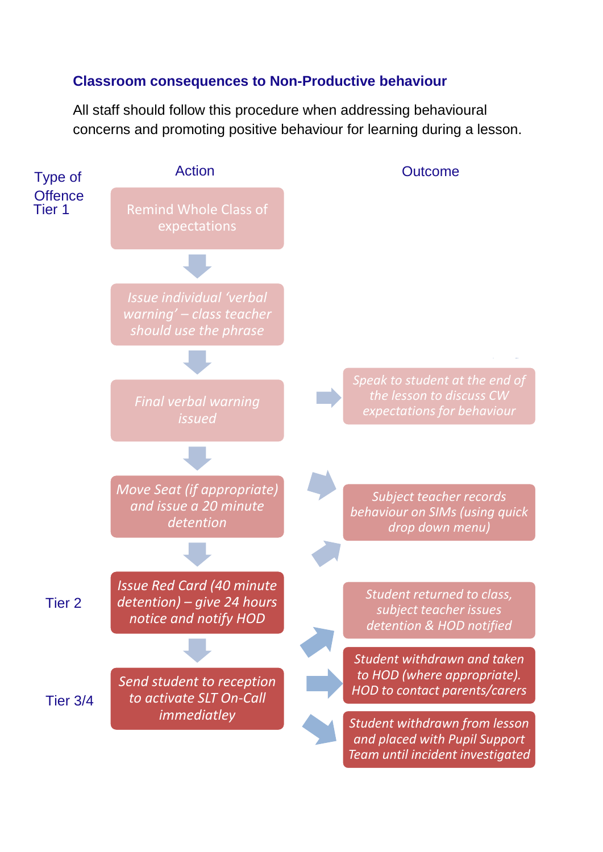# **Classroom consequences to Non-Productive behaviour**

All staff should follow this procedure when addressing behavioural concerns and promoting positive behaviour for learning during a lesson.